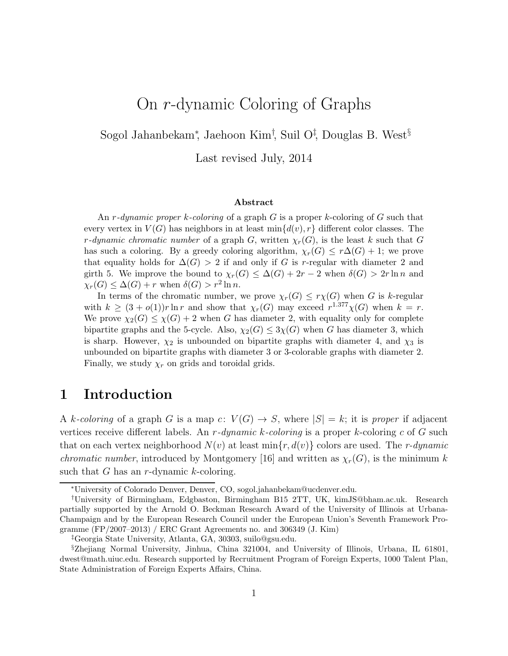# On r-dynamic Coloring of Graphs

Sogol Jahanbekam<sup>∗</sup> , Jaehoon Kim† , Suil O‡ , Douglas B. West§

Last revised July, 2014

#### Abstract

An r-dynamic proper  $k$ -coloring of a graph G is a proper k-coloring of G such that every vertex in  $V(G)$  has neighbors in at least  $\min\{d(v), r\}$  different color classes. The r-dynamic chromatic number of a graph G, written  $\chi_r(G)$ , is the least k such that G has such a coloring. By a greedy coloring algorithm,  $\chi_r(G) \leq r\Delta(G) + 1$ ; we prove that equality holds for  $\Delta(G) > 2$  if and only if G is r-regular with diameter 2 and girth 5. We improve the bound to  $\chi_r(G) \leq \Delta(G) + 2r - 2$  when  $\delta(G) > 2r \ln n$  and  $\chi_r(G) \leq \Delta(G) + r$  when  $\delta(G) > r^2 \ln n$ .

In terms of the chromatic number, we prove  $\chi_r(G) \leq r\chi(G)$  when G is k-regular with  $k \geq (3 + o(1))r \ln r$  and show that  $\chi_r(G)$  may exceed  $r^{1.377}\chi(G)$  when  $k = r$ . We prove  $\chi_2(G) \leq \chi(G) + 2$  when G has diameter 2, with equality only for complete bipartite graphs and the 5-cycle. Also,  $\chi_2(G) \leq 3\chi(G)$  when G has diameter 3, which is sharp. However,  $\chi_2$  is unbounded on bipartite graphs with diameter 4, and  $\chi_3$  is unbounded on bipartite graphs with diameter 3 or 3-colorable graphs with diameter 2. Finally, we study  $\chi_r$  on grids and toroidal grids.

# 1 Introduction

A k-coloring of a graph G is a map c:  $V(G) \rightarrow S$ , where  $|S| = k$ ; it is proper if adjacent vertices receive different labels. An r-dynamic k-coloring is a proper k-coloring c of G such that on each vertex neighborhood  $N(v)$  at least  $\min\{r, d(v)\}$  colors are used. The r-dynamic *chromatic number*, introduced by Montgomery [16] and written as  $\chi_r(G)$ , is the minimum k such that G has an r-dynamic  $k$ -coloring.

<sup>∗</sup>University of Colorado Denver, Denver, CO, sogol.jahanbekam@ucdenver.edu.

<sup>†</sup>University of Birmingham, Edgbaston, Birmingham B15 2TT, UK, kimJS@bham.ac.uk. Research partially supported by the Arnold O. Beckman Research Award of the University of Illinois at Urbana-Champaign and by the European Research Council under the European Union's Seventh Framework Programme  $(FP/2007-2013)$  / ERC Grant Agreements no. and 306349 (J. Kim)

<sup>‡</sup>Georgia State University, Atlanta, GA, 30303, suilo@gsu.edu.

<sup>§</sup>Zhejiang Normal University, Jinhua, China 321004, and University of Illinois, Urbana, IL 61801, dwest@math.uiuc.edu. Research supported by Recruitment Program of Foreign Experts, 1000 Talent Plan, State Administration of Foreign Experts Affairs, China.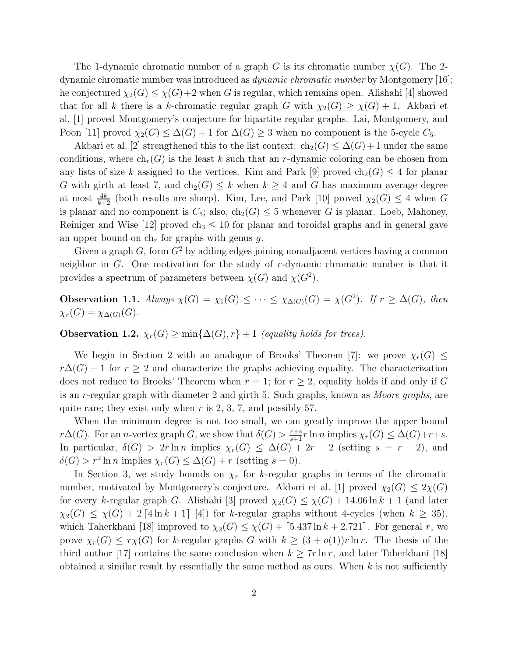The 1-dynamic chromatic number of a graph G is its chromatic number  $\chi(G)$ . The 2dynamic chromatic number was introduced as dynamic chromatic number by Montgomery [16]; he conjectured  $\chi_2(G) \leq \chi(G)+2$  when G is regular, which remains open. Alishahi [4] showed that for all k there is a k-chromatic regular graph G with  $\chi_2(G) \geq \chi(G) + 1$ . Akbari et al. [1] proved Montgomery's conjecture for bipartite regular graphs. Lai, Montgomery, and Poon [11] proved  $\chi_2(G) \leq \Delta(G) + 1$  for  $\Delta(G) \geq 3$  when no component is the 5-cycle  $C_5$ .

Akbari et al. [2] strengthened this to the list context:  $ch_2(G) \leq \Delta(G) + 1$  under the same conditions, where  $ch_r(G)$  is the least k such that an r-dynamic coloring can be chosen from any lists of size k assigned to the vertices. Kim and Park [9] proved  $ch_2(G) \leq 4$  for planar G with girth at least 7, and  $ch_2(G) \leq k$  when  $k \geq 4$  and G has maximum average degree at most  $\frac{4k}{k+2}$  (both results are sharp). Kim, Lee, and Park [10] proved  $\chi_2(G) \leq 4$  when G is planar and no component is  $C_5$ ; also,  $ch_2(G) \leq 5$  whenever G is planar. Loeb, Mahoney, Reiniger and Wise [12] proved ch<sub>3</sub>  $\leq$  10 for planar and toroidal graphs and in general gave an upper bound on  $ch<sub>r</sub>$  for graphs with genus g.

Given a graph G, form  $G^2$  by adding edges joining nonadjacent vertices having a common neighbor in G. One motivation for the study of r-dynamic chromatic number is that it provides a spectrum of parameters between  $\chi(G)$  and  $\chi(G^2)$ .

**Observation 1.1.** Always  $\chi(G) = \chi_1(G) \leq \cdots \leq \chi_{\Delta(G)}(G) = \chi(G^2)$ . If  $r \geq \Delta(G)$ , then  $\chi_r(G) = \chi_{\Delta(G)}(G)$ .

Observation 1.2.  $\chi_r(G) \ge \min{\{\Delta(G), r\}} + 1$  (equality holds for trees).

We begin in Section 2 with an analogue of Brooks' Theorem [7]: we prove  $\chi_r(G) \leq$  $r\Delta(G) + 1$  for  $r \geq 2$  and characterize the graphs achieving equality. The characterization does not reduce to Brooks' Theorem when  $r = 1$ ; for  $r \geq 2$ , equality holds if and only if G is an r-regular graph with diameter 2 and girth 5. Such graphs, known as Moore graphs, are quite rare; they exist only when  $r$  is 2, 3, 7, and possibly 57.

When the minimum degree is not too small, we can greatly improve the upper bound  $r\Delta(G)$ . For an *n*-vertex graph G, we show that  $\delta(G) > \frac{r+s}{s+1} r \ln n$  implies  $\chi_r(G) \leq \Delta(G)+r+s$ . In particular,  $\delta(G) > 2r \ln n$  implies  $\chi_r(G) \leq \Delta(G) + 2r - 2$  (setting  $s = r - 2$ ), and  $\delta(G) > r^2 \ln n$  implies  $\chi_r(G) \leq \Delta(G) + r$  (setting  $s = 0$ ).

In Section 3, we study bounds on  $\chi_r$  for k-regular graphs in terms of the chromatic number, motivated by Montgomery's conjecture. Akbari et al. [1] proved  $\chi_2(G) \leq 2\chi(G)$ for every k-regular graph G. Alishahi [3] proved  $\chi_2(G) \leq \chi(G) + 14.06 \ln k + 1$  (and later  $\chi_2(G) \leq \chi(G) + 2 \left[4 \ln k + 1\right]$  [4]) for k-regular graphs without 4-cycles (when  $k \geq 35$ ), which Taherkhani [18] improved to  $\chi_2(G) \leq \chi(G) + [5.437 \ln k + 2.721]$ . For general r, we prove  $\chi_r(G) \leq r\chi(G)$  for k-regular graphs G with  $k \geq (3+o(1))r \ln r$ . The thesis of the third author [17] contains the same conclusion when  $k \geq 7r \ln r$ , and later Taherkhani [18] obtained a similar result by essentially the same method as ours. When  $k$  is not sufficiently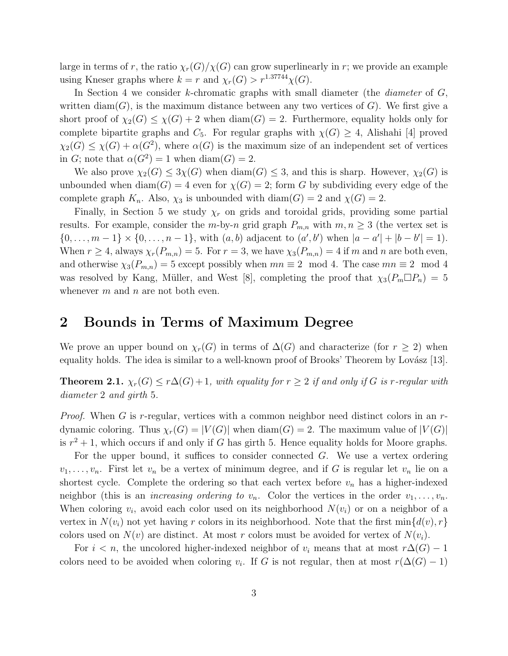large in terms of r, the ratio  $\chi_r(G)/\chi(G)$  can grow superlinearly in r; we provide an example using Kneser graphs where  $k = r$  and  $\chi_r(G) > r^{1.37744}\chi(G)$ .

In Section 4 we consider  $k$ -chromatic graphs with small diameter (the *diameter* of  $G$ , written diam $(G)$ , is the maximum distance between any two vertices of  $G$ ). We first give a short proof of  $\chi_2(G) \leq \chi(G) + 2$  when  $\text{diam}(G) = 2$ . Furthermore, equality holds only for complete bipartite graphs and  $C_5$ . For regular graphs with  $\chi(G) \geq 4$ , Alishahi [4] proved  $\chi_2(G) \leq \chi(G) + \alpha(G^2)$ , where  $\alpha(G)$  is the maximum size of an independent set of vertices in G; note that  $\alpha(G^2) = 1$  when  $\text{diam}(G) = 2$ .

We also prove  $\chi_2(G) \leq 3\chi(G)$  when  $\text{diam}(G) \leq 3$ , and this is sharp. However,  $\chi_2(G)$  is unbounded when  $\text{diam}(G) = 4$  even for  $\chi(G) = 2$ ; form G by subdividing every edge of the complete graph  $K_n$ . Also,  $\chi_3$  is unbounded with diam(G) = 2 and  $\chi(G) = 2$ .

Finally, in Section 5 we study  $\chi_r$  on grids and toroidal grids, providing some partial results. For example, consider the m-by-n grid graph  $P_{m,n}$  with  $m, n \geq 3$  (the vertex set is  $\{0, \ldots, m-1\} \times \{0, \ldots, n-1\}$ , with  $(a, b)$  adjacent to  $(a', b')$  when  $|a - a'| + |b - b'| = 1$ . When  $r \geq 4$ , always  $\chi_r(P_{m,n}) = 5$ . For  $r = 3$ , we have  $\chi_3(P_{m,n}) = 4$  if m and n are both even, and otherwise  $\chi_3(P_{m,n}) = 5$  except possibly when  $mn \equiv 2 \mod 4$ . The case  $mn \equiv 2 \mod 4$ was resolved by Kang, Müller, and West [8], completing the proof that  $\chi_3(P_m \Box P_n) = 5$ whenever  $m$  and  $n$  are not both even.

#### 2 Bounds in Terms of Maximum Degree

We prove an upper bound on  $\chi_r(G)$  in terms of  $\Delta(G)$  and characterize (for  $r \geq 2$ ) when equality holds. The idea is similar to a well-known proof of Brooks' Theorem by Lovász [13].

**Theorem 2.1.**  $\chi_r(G) \leq r\Delta(G) + 1$ , with equality for  $r \geq 2$  if and only if G is r-regular with diameter 2 and girth 5.

*Proof.* When G is r-regular, vertices with a common neighbor need distinct colors in an  $r$ dynamic coloring. Thus  $\chi_r(G) = |V(G)|$  when  $\text{diam}(G) = 2$ . The maximum value of  $|V(G)|$ is  $r^2 + 1$ , which occurs if and only if G has girth 5. Hence equality holds for Moore graphs.

For the upper bound, it suffices to consider connected G. We use a vertex ordering  $v_1, \ldots, v_n$ . First let  $v_n$  be a vertex of minimum degree, and if G is regular let  $v_n$  lie on a shortest cycle. Complete the ordering so that each vertex before  $v_n$  has a higher-indexed neighbor (this is an *increasing ordering to*  $v_n$ . Color the vertices in the order  $v_1, \ldots, v_n$ . When coloring  $v_i$ , avoid each color used on its neighborhood  $N(v_i)$  or on a neighbor of a vertex in  $N(v_i)$  not yet having r colors in its neighborhood. Note that the first min $\{d(v), r\}$ colors used on  $N(v)$  are distinct. At most r colors must be avoided for vertex of  $N(v_i)$ .

For  $i < n$ , the uncolored higher-indexed neighbor of  $v_i$  means that at most  $r\Delta(G) - 1$ colors need to be avoided when coloring  $v_i$ . If G is not regular, then at most  $r(\Delta(G) - 1)$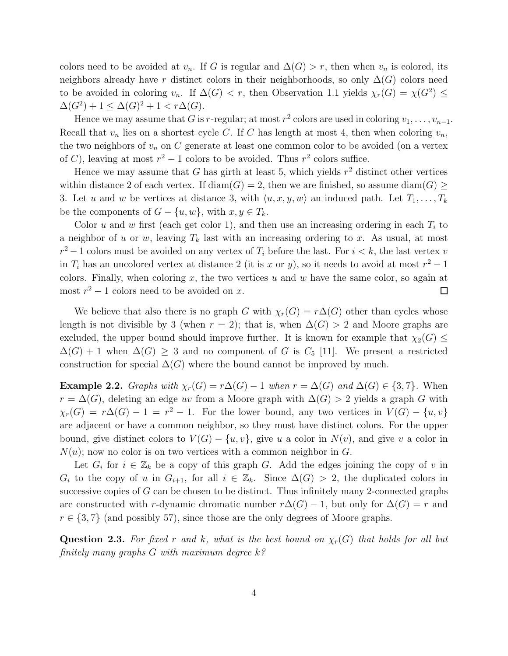colors need to be avoided at  $v_n$ . If G is regular and  $\Delta(G) > r$ , then when  $v_n$  is colored, its neighbors already have r distinct colors in their neighborhoods, so only  $\Delta(G)$  colors need to be avoided in coloring  $v_n$ . If  $\Delta(G) < r$ , then Observation 1.1 yields  $\chi_r(G) = \chi(G^2) \leq$  $\Delta(G^2) + 1 \leq \Delta(G)^2 + 1 < r\Delta(G).$ 

Hence we may assume that G is r-regular; at most  $r^2$  colors are used in coloring  $v_1, \ldots, v_{n-1}$ . Recall that  $v_n$  lies on a shortest cycle C. If C has length at most 4, then when coloring  $v_n$ , the two neighbors of  $v_n$  on C generate at least one common color to be avoided (on a vertex of C), leaving at most  $r^2 - 1$  colors to be avoided. Thus  $r^2$  colors suffice.

Hence we may assume that G has girth at least 5, which yields  $r^2$  distinct other vertices within distance 2 of each vertex. If  $\text{diam}(G) = 2$ , then we are finished, so assume  $\text{diam}(G) \geq$ 3. Let u and w be vertices at distance 3, with  $\langle u, x, y, w \rangle$  an induced path. Let  $T_1, \ldots, T_k$ be the components of  $G - \{u, w\}$ , with  $x, y \in T_k$ .

Color u and w first (each get color 1), and then use an increasing ordering in each  $T_i$  to a neighbor of u or w, leaving  $T_k$  last with an increasing ordering to x. As usual, at most  $r^2-1$  colors must be avoided on any vertex of  $T_i$  before the last. For  $i < k$ , the last vertex v in  $T_i$  has an uncolored vertex at distance 2 (it is x or y), so it needs to avoid at most  $r^2 - 1$ colors. Finally, when coloring  $x$ , the two vertices  $u$  and  $w$  have the same color, so again at most  $r^2 - 1$  colors need to be avoided on x.  $\Box$ 

We believe that also there is no graph G with  $\chi_r(G) = r\Delta(G)$  other than cycles whose length is not divisible by 3 (when  $r = 2$ ); that is, when  $\Delta(G) > 2$  and Moore graphs are excluded, the upper bound should improve further. It is known for example that  $\chi_2(G) \leq$  $\Delta(G) + 1$  when  $\Delta(G) \geq 3$  and no component of G is  $C_5$  [11]. We present a restricted construction for special  $\Delta(G)$  where the bound cannot be improved by much.

**Example 2.2.** Graphs with  $\chi_r(G) = r\Delta(G) - 1$  when  $r = \Delta(G)$  and  $\Delta(G) \in \{3, 7\}$ . When  $r = \Delta(G)$ , deleting an edge uv from a Moore graph with  $\Delta(G) > 2$  yields a graph G with  $\chi_r(G) = r\Delta(G) - 1 = r^2 - 1$ . For the lower bound, any two vertices in  $V(G) - \{u, v\}$ are adjacent or have a common neighbor, so they must have distinct colors. For the upper bound, give distinct colors to  $V(G) - \{u, v\}$ , give u a color in  $N(v)$ , and give v a color in  $N(u)$ ; now no color is on two vertices with a common neighbor in G.

Let  $G_i$  for  $i \in \mathbb{Z}_k$  be a copy of this graph G. Add the edges joining the copy of v in  $G_i$  to the copy of u in  $G_{i+1}$ , for all  $i \in \mathbb{Z}_k$ . Since  $\Delta(G) > 2$ , the duplicated colors in successive copies of  $G$  can be chosen to be distinct. Thus infinitely many 2-connected graphs are constructed with r-dynamic chromatic number  $r\Delta(G) - 1$ , but only for  $\Delta(G) = r$  and  $r \in \{3, 7\}$  (and possibly 57), since those are the only degrees of Moore graphs.

Question 2.3. For fixed r and k, what is the best bound on  $\chi_r(G)$  that holds for all but finitely many graphs  $G$  with maximum degree  $k$ ?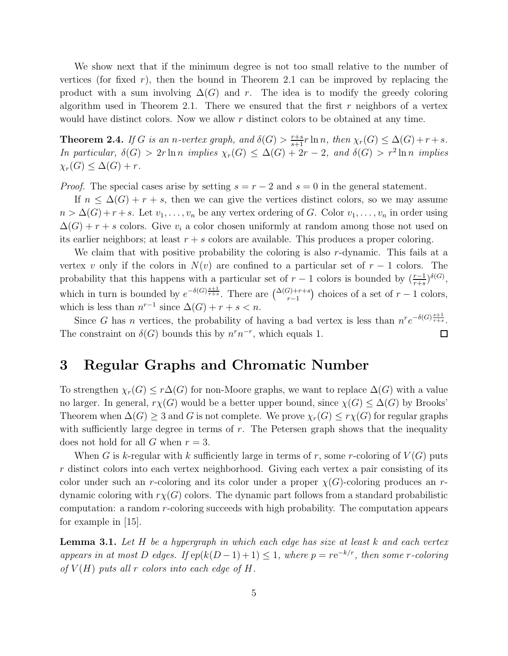We show next that if the minimum degree is not too small relative to the number of vertices (for fixed r), then the bound in Theorem 2.1 can be improved by replacing the product with a sum involving  $\Delta(G)$  and r. The idea is to modify the greedy coloring algorithm used in Theorem 2.1. There we ensured that the first r neighbors of a vertex would have distinct colors. Now we allow  $r$  distinct colors to be obtained at any time.

**Theorem 2.4.** If G is an n-vertex graph, and  $\delta(G) > \frac{r+s}{s+1}r \ln n$ , then  $\chi_r(G) \leq \Delta(G) + r + s$ . In particular,  $\delta(G) > 2r \ln n$  implies  $\chi_r(G) \leq \Delta(G) + 2r - 2$ , and  $\delta(G) > r^2 \ln n$  implies  $\chi_r(G) \leq \Delta(G) + r$ .

*Proof.* The special cases arise by setting  $s = r - 2$  and  $s = 0$  in the general statement.

If  $n \leq \Delta(G) + r + s$ , then we can give the vertices distinct colors, so we may assume  $n > \Delta(G) + r + s$ . Let  $v_1, \ldots, v_n$  be any vertex ordering of G. Color  $v_1, \ldots, v_n$  in order using  $\Delta(G) + r + s$  colors. Give  $v_i$  a color chosen uniformly at random among those not used on its earlier neighbors; at least  $r + s$  colors are available. This produces a proper coloring.

We claim that with positive probability the coloring is also r-dynamic. This fails at a vertex v only if the colors in  $N(v)$  are confined to a particular set of  $r-1$  colors. The probability that this happens with a particular set of  $r-1$  colors is bounded by  $(\frac{r-1}{r+s})^{\delta(G)}$ , which in turn is bounded by  $e^{-\delta(G)\frac{s+1}{r+s}}$ . There are  $\binom{\Delta(G)+r+s}{r-1}$  choices of a set of  $r-1$  colors, which is less than  $n^{r-1}$  since  $\Delta(G) + r + s < n$ .

Since G has n vertices, the probability of having a bad vertex is less than  $n^r e^{-\delta(G)\frac{s+1}{r+s}}$ . The constraint on  $\delta(G)$  bounds this by  $n^r n^{-r}$ , which equals 1.  $\Box$ 

# 3 Regular Graphs and Chromatic Number

To strengthen  $\chi_r(G) \leq r\Delta(G)$  for non-Moore graphs, we want to replace  $\Delta(G)$  with a value no larger. In general,  $r\chi(G)$  would be a better upper bound, since  $\chi(G) \leq \Delta(G)$  by Brooks' Theorem when  $\Delta(G) \geq 3$  and G is not complete. We prove  $\chi_r(G) \leq r\chi(G)$  for regular graphs with sufficiently large degree in terms of  $r$ . The Petersen graph shows that the inequality does not hold for all G when  $r = 3$ .

When G is k-regular with k sufficiently large in terms of r, some r-coloring of  $V(G)$  puts r distinct colors into each vertex neighborhood. Giving each vertex a pair consisting of its color under such an r-coloring and its color under a proper  $\chi(G)$ -coloring produces an rdynamic coloring with  $r\chi(G)$  colors. The dynamic part follows from a standard probabilistic computation: a random r-coloring succeeds with high probability. The computation appears for example in [15].

**Lemma 3.1.** Let  $H$  be a hypergraph in which each edge has size at least  $k$  and each vertex appears in at most D edges. If  $ep(k(D-1)+1) \leq 1$ , where  $p = re^{-k/r}$ , then some r-coloring of  $V(H)$  puts all r colors into each edge of H.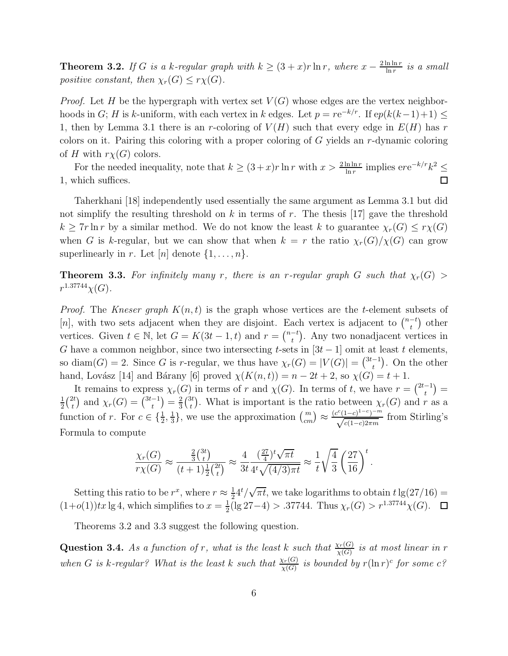**Theorem 3.2.** If G is a k-regular graph with  $k \geq (3+x)r \ln r$ , where  $x - \frac{2 \ln \ln r}{\ln r}$  $\frac{\ln \ln r}{\ln r}$  is a small positive constant, then  $\chi_r(G) \leq r\chi(G)$ .

*Proof.* Let H be the hypergraph with vertex set  $V(G)$  whose edges are the vertex neighborhoods in G; H is k-uniform, with each vertex in k edges. Let  $p = re^{-k/r}$ . If  $ep(k(k-1)+1) \le$ 1, then by Lemma 3.1 there is an r-coloring of  $V(H)$  such that every edge in  $E(H)$  has r colors on it. Pairing this coloring with a proper coloring of G yields an r-dynamic coloring of H with  $r\chi(G)$  colors.

For the needed inequality, note that  $k \geq (3+x)r \ln r$  with  $x > \frac{2 \ln \ln r}{\ln r}$  implies  $ere^{-k/r}k^2 \leq$ 1, which suffices.  $\Box$ 

Taherkhani [18] independently used essentially the same argument as Lemma 3.1 but did not simplify the resulting threshold on  $k$  in terms of  $r$ . The thesis [17] gave the threshold  $k \geq 7r \ln r$  by a similar method. We do not know the least k to guarantee  $\chi_r(G) \leq r \chi(G)$ when G is k-regular, but we can show that when  $k = r$  the ratio  $\chi_r(G)/\chi(G)$  can grow superlinearly in r. Let  $[n]$  denote  $\{1, \ldots, n\}$ .

**Theorem 3.3.** For infinitely many r, there is an r-regular graph G such that  $\chi_r(G)$  $r^{1.37744}\chi(G)$ .

*Proof.* The Kneser graph  $K(n, t)$  is the graph whose vertices are the t-element subsets of [n], with two sets adjacent when they are disjoint. Each vertex is adjacent to  $\binom{n-t}{t}$  $\binom{-t}{t}$  other vertices. Given  $t \in \mathbb{N}$ , let  $G = K(3t - 1, t)$  and  $r = \binom{n-t}{t}$  $_{t}^{-t}$ ). Any two nonadjacent vertices in G have a common neighbor, since two intersecting t-sets in  $[3t-1]$  omit at least t elements, so diam(G) = 2. Since G is r-regular, we thus have  $\chi_r(G) = |V(G)| = \binom{3t-1}{t}$  $\binom{-1}{t}$ . On the other hand, Lovász [14] and Bárany [6] proved  $\chi(K(n, t)) = n - 2t + 2$ , so  $\chi(G) = t + 1$ .

It remains to express  $\chi_r(G)$  in terms of r and  $\chi(G)$ . In terms of t, we have  $r = \binom{2t-1}{t}$ 1(2t) and  $\chi(G) = \binom{3t-1}{2} = \frac{2}{3}t^2$ . What is important is the ratio between  $\chi(G)$  and r  $rac{1}{2}$  $\binom{2t}{t}$  $\chi_t^{2t}$  and  $\chi_r(G) = \binom{3t-1}{t}$  $\binom{-1}{t} = \frac{2}{3}$  $\frac{2}{3}\binom{3t}{t}$ <sup>*t*</sup><sub>t</sub></sub>. What is important is the ratio between  $\chi_r(G)$  and r as a function of r. For  $c \in \{\frac{1}{2}, \frac{1}{3}$  $\frac{1}{3}$ , we use the approximation  $\binom{m}{cm} \approx \frac{(c^c(1-c)^{1-c})^{-m}}{\sqrt{c(1-c)2\pi m}}$  from Stirling's Formula to compute

$$
\frac{\chi_r(G)}{r\chi(G)} \approx \frac{\frac{2}{3}\binom{3t}{t}}{(t+1)\frac{1}{2}\binom{2t}{t}} \approx \frac{4}{3t} \frac{(\frac{27}{4})^t \sqrt{\pi t}}{4^t \sqrt{(4/3)\pi t}} \approx \frac{1}{t} \sqrt{\frac{4}{3}} \left(\frac{27}{16}\right)^t.
$$

Setting this ratio to be  $r^x$ , where  $r \approx \frac{1}{2}$  $\frac{1}{2}4^t/\sqrt{\pi t}$ , we take logarithms to obtain  $t \lg(27/16) =$  $(1+o(1))tx \lg 4$ , which simplifies to  $x=\frac{1}{2}$  $\frac{1}{2}$ (lg 27-4) > .37744. Thus  $\chi_r(G)$  >  $r^{1.37744}\chi(G)$ .

Theorems 3.2 and 3.3 suggest the following question.

**Question 3.4.** As a function of r, what is the least k such that  $\frac{\chi_r(G)}{\chi(G)}$  is at most linear in r when G is k-regular? What is the least k such that  $\frac{\chi_r(G)}{\chi(G)}$  is bounded by  $r(\ln r)^c$  for some  $c$ ?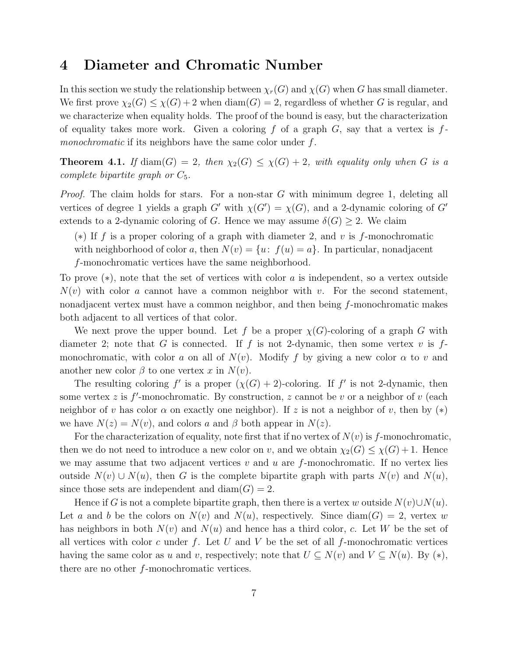### 4 Diameter and Chromatic Number

In this section we study the relationship between  $\chi_r(G)$  and  $\chi(G)$  when G has small diameter. We first prove  $\chi_2(G) \leq \chi(G) + 2$  when  $\text{diam}(G) = 2$ , regardless of whether G is regular, and we characterize when equality holds. The proof of the bound is easy, but the characterization of equality takes more work. Given a coloring f of a graph  $G$ , say that a vertex is fmonochromatic if its neighbors have the same color under f.

**Theorem 4.1.** If  $\text{diam}(G) = 2$ , then  $\chi_2(G) \leq \chi(G) + 2$ , with equality only when G is a complete bipartite graph or  $C_5$ .

*Proof.* The claim holds for stars. For a non-star  $G$  with minimum degree 1, deleting all vertices of degree 1 yields a graph  $G'$  with  $\chi(G') = \chi(G)$ , and a 2-dynamic coloring of  $G'$ extends to a 2-dynamic coloring of G. Hence we may assume  $\delta(G) \geq 2$ . We claim

(\*) If f is a proper coloring of a graph with diameter 2, and v is f-monochromatic with neighborhood of color a, then  $N(v) = \{u: f(u) = a\}$ . In particular, nonadjacent f-monochromatic vertices have the same neighborhood.

To prove (∗), note that the set of vertices with color a is independent, so a vertex outside  $N(v)$  with color a cannot have a common neighbor with v. For the second statement, nonadjacent vertex must have a common neighbor, and then being f-monochromatic makes both adjacent to all vertices of that color.

We next prove the upper bound. Let f be a proper  $\chi(G)$ -coloring of a graph G with diameter 2; note that G is connected. If f is not 2-dynamic, then some vertex v is  $f$ monochromatic, with color a on all of  $N(v)$ . Modify f by giving a new color  $\alpha$  to v and another new color  $\beta$  to one vertex x in  $N(v)$ .

The resulting coloring f' is a proper  $(\chi(G) + 2)$ -coloring. If f' is not 2-dynamic, then some vertex z is  $f'$ -monochromatic. By construction, z cannot be v or a neighbor of v (each neighbor of v has color  $\alpha$  on exactly one neighbor). If z is not a neighbor of v, then by  $(*)$ we have  $N(z) = N(v)$ , and colors a and  $\beta$  both appear in  $N(z)$ .

For the characterization of equality, note first that if no vertex of  $N(v)$  is f-monochromatic, then we do not need to introduce a new color on v, and we obtain  $\chi_2(G) \leq \chi(G) + 1$ . Hence we may assume that two adjacent vertices v and u are f-monochromatic. If no vertex lies outside  $N(v) \cup N(u)$ , then G is the complete bipartite graph with parts  $N(v)$  and  $N(u)$ , since those sets are independent and  $diam(G) = 2$ .

Hence if G is not a complete bipartite graph, then there is a vertex w outside  $N(v) \cup N(u)$ . Let a and b be the colors on  $N(v)$  and  $N(u)$ , respectively. Since  $\text{diam}(G) = 2$ , vertex w has neighbors in both  $N(v)$  and  $N(u)$  and hence has a third color, c. Let W be the set of all vertices with color c under f. Let U and V be the set of all f-monochromatic vertices having the same color as u and v, respectively; note that  $U \subseteq N(v)$  and  $V \subseteq N(u)$ . By  $(*),$ there are no other f-monochromatic vertices.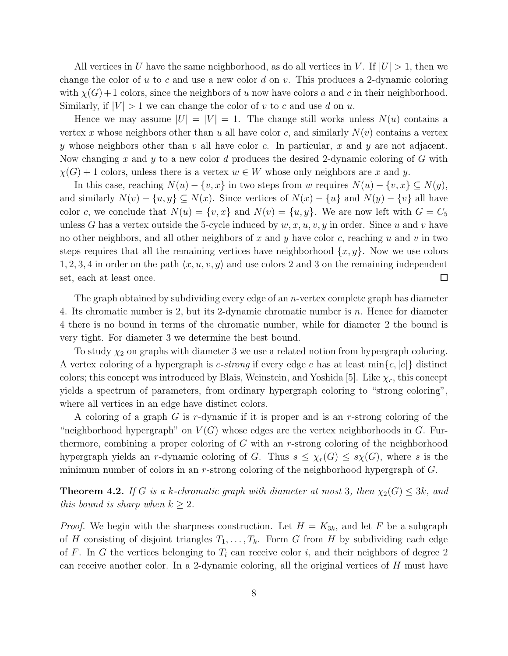All vertices in U have the same neighborhood, as do all vertices in V. If  $|U| > 1$ , then we change the color of u to c and use a new color d on v. This produces a 2-dynamic coloring with  $\chi(G)+1$  colors, since the neighbors of u now have colors a and c in their neighborhood. Similarly, if  $|V| > 1$  we can change the color of v to c and use d on u.

Hence we may assume  $|U| = |V| = 1$ . The change still works unless  $N(u)$  contains a vertex x whose neighbors other than u all have color c, and similarly  $N(v)$  contains a vertex y whose neighbors other than v all have color c. In particular, x and y are not adjacent. Now changing x and y to a new color d produces the desired 2-dynamic coloring of G with  $\chi(G) + 1$  colors, unless there is a vertex  $w \in W$  whose only neighbors are x and y.

In this case, reaching  $N(u) - \{v, x\}$  in two steps from w requires  $N(u) - \{v, x\} \subseteq N(y)$ , and similarly  $N(v) - \{u, y\} \subseteq N(x)$ . Since vertices of  $N(x) - \{u\}$  and  $N(y) - \{v\}$  all have color c, we conclude that  $N(u) = \{v, x\}$  and  $N(v) = \{u, y\}$ . We are now left with  $G = C_5$ unless G has a vertex outside the 5-cycle induced by  $w, x, u, v, y$  in order. Since u and v have no other neighbors, and all other neighbors of x and y have color c, reaching u and v in two steps requires that all the remaining vertices have neighborhood  $\{x, y\}$ . Now we use colors 1, 2, 3, 4 in order on the path  $\langle x, u, v, y \rangle$  and use colors 2 and 3 on the remaining independent set, each at least once.  $\Box$ 

The graph obtained by subdividing every edge of an *n*-vertex complete graph has diameter 4. Its chromatic number is 2, but its 2-dynamic chromatic number is n. Hence for diameter 4 there is no bound in terms of the chromatic number, while for diameter 2 the bound is very tight. For diameter 3 we determine the best bound.

To study  $\chi_2$  on graphs with diameter 3 we use a related notion from hypergraph coloring. A vertex coloring of a hypergraph is c-strong if every edge e has at least  $\min\{c, |e|\}$  distinct colors; this concept was introduced by Blais, Weinstein, and Yoshida [5]. Like  $\chi_r$ , this concept yields a spectrum of parameters, from ordinary hypergraph coloring to "strong coloring", where all vertices in an edge have distinct colors.

A coloring of a graph  $G$  is r-dynamic if it is proper and is an r-strong coloring of the "neighborhood hypergraph" on  $V(G)$  whose edges are the vertex neighborhoods in G. Furthermore, combining a proper coloring of G with an r-strong coloring of the neighborhood hypergraph yields an r-dynamic coloring of G. Thus  $s \leq \chi_r(G) \leq s\chi(G)$ , where s is the minimum number of colors in an r-strong coloring of the neighborhood hypergraph of G.

**Theorem 4.2.** If G is a k-chromatic graph with diameter at most 3, then  $\chi_2(G) \leq 3k$ , and this bound is sharp when  $k \geq 2$ .

*Proof.* We begin with the sharpness construction. Let  $H = K_{3k}$ , and let F be a subgraph of H consisting of disjoint triangles  $T_1, \ldots, T_k$ . Form G from H by subdividing each edge of F. In G the vertices belonging to  $T_i$  can receive color i, and their neighbors of degree 2 can receive another color. In a 2-dynamic coloring, all the original vertices of  $H$  must have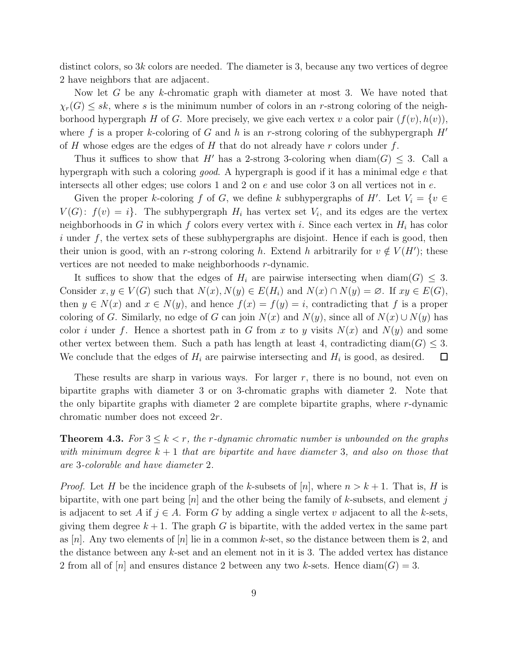distinct colors, so  $3k$  colors are needed. The diameter is 3, because any two vertices of degree 2 have neighbors that are adjacent.

Now let  $G$  be any k-chromatic graph with diameter at most 3. We have noted that  $\chi_r(G) \leq sk$ , where s is the minimum number of colors in an r-strong coloring of the neighborhood hypergraph H of G. More precisely, we give each vertex v a color pair  $(f(v), h(v))$ , where f is a proper k-coloring of G and h is an r-strong coloring of the subhypergraph  $H'$ of H whose edges are the edges of H that do not already have  $r$  colors under  $f$ .

Thus it suffices to show that H' has a 2-strong 3-coloring when  $\text{diam}(G) \leq 3$ . Call a hypergraph with such a coloring good. A hypergraph is good if it has a minimal edge e that intersects all other edges; use colors 1 and 2 on e and use color 3 on all vertices not in e.

Given the proper k-coloring f of G, we define k subhypergraphs of  $H'$ . Let  $V_i = \{v \in$  $V(G)$ :  $f(v) = i$ . The subhypergraph  $H_i$  has vertex set  $V_i$ , and its edges are the vertex neighborhoods in G in which f colors every vertex with i. Since each vertex in  $H_i$  has color i under f, the vertex sets of these subhypergraphs are disjoint. Hence if each is good, then their union is good, with an r-strong coloring h. Extend h arbitrarily for  $v \notin V(H')$ ; these vertices are not needed to make neighborhoods r-dynamic.

It suffices to show that the edges of  $H_i$  are pairwise intersecting when  $\text{diam}(G) \leq 3$ . Consider  $x, y \in V(G)$  such that  $N(x), N(y) \in E(H_i)$  and  $N(x) \cap N(y) = \emptyset$ . If  $xy \in E(G)$ , then  $y \in N(x)$  and  $x \in N(y)$ , and hence  $f(x) = f(y) = i$ , contradicting that f is a proper coloring of G. Similarly, no edge of G can join  $N(x)$  and  $N(y)$ , since all of  $N(x) \cup N(y)$  has color i under f. Hence a shortest path in G from x to y visits  $N(x)$  and  $N(y)$  and some other vertex between them. Such a path has length at least 4, contradicting diam( $G$ )  $\leq$  3. We conclude that the edges of  $H_i$  are pairwise intersecting and  $H_i$  is good, as desired.  $\Box$ 

These results are sharp in various ways. For larger  $r$ , there is no bound, not even on bipartite graphs with diameter 3 or on 3-chromatic graphs with diameter 2. Note that the only bipartite graphs with diameter 2 are complete bipartite graphs, where r-dynamic chromatic number does not exceed 2r.

**Theorem 4.3.** For  $3 \leq k < r$ , the r-dynamic chromatic number is unbounded on the graphs with minimum degree  $k + 1$  that are bipartite and have diameter 3, and also on those that are 3-colorable and have diameter 2.

*Proof.* Let H be the incidence graph of the k-subsets of  $[n]$ , where  $n > k + 1$ . That is, H is bipartite, with one part being  $[n]$  and the other being the family of k-subsets, and element j is adjacent to set A if  $j \in A$ . Form G by adding a single vertex v adjacent to all the k-sets, giving them degree  $k + 1$ . The graph G is bipartite, with the added vertex in the same part as |n|. Any two elements of |n| lie in a common k-set, so the distance between them is 2, and the distance between any k-set and an element not in it is 3. The added vertex has distance 2 from all of  $[n]$  and ensures distance 2 between any two k-sets. Hence  $\text{diam}(G) = 3$ .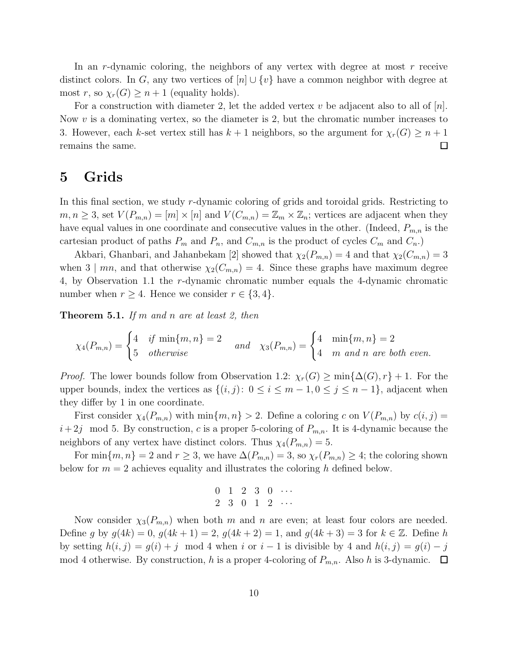In an r-dynamic coloring, the neighbors of any vertex with degree at most r receive distinct colors. In G, any two vertices of  $[n] \cup \{v\}$  have a common neighbor with degree at most r, so  $\chi_r(G) \geq n+1$  (equality holds).

For a construction with diameter 2, let the added vertex v be adjacent also to all of  $[n]$ . Now  $v$  is a dominating vertex, so the diameter is 2, but the chromatic number increases to 3. However, each k-set vertex still has  $k + 1$  neighbors, so the argument for  $\chi_r(G) \geq n + 1$  remains the same. remains the same.

### 5 Grids

In this final section, we study r-dynamic coloring of grids and toroidal grids. Restricting to  $m, n \geq 3$ , set  $V(P_{m,n}) = [m] \times [n]$  and  $V(C_{m,n}) = \mathbb{Z}_m \times \mathbb{Z}_n$ ; vertices are adjacent when they have equal values in one coordinate and consecutive values in the other. (Indeed,  $P_{m,n}$  is the cartesian product of paths  $P_m$  and  $P_n$ , and  $C_{m,n}$  is the product of cycles  $C_m$  and  $C_n$ .

Akbari, Ghanbari, and Jahanbekam [2] showed that  $\chi_2(P_{m,n}) = 4$  and that  $\chi_2(C_{m,n}) = 3$ when 3 | mn, and that otherwise  $\chi_2(C_{m,n}) = 4$ . Since these graphs have maximum degree 4, by Observation 1.1 the r-dynamic chromatic number equals the 4-dynamic chromatic number when  $r \geq 4$ . Hence we consider  $r \in \{3, 4\}$ .

**Theorem 5.1.** If m and n are at least 2, then

$$
\chi_4(P_{m,n}) = \begin{cases} 4 & \text{if } \min\{m,n\} = 2 \\ 5 & \text{otherwise} \end{cases} \quad and \quad \chi_3(P_{m,n}) = \begin{cases} 4 & \min\{m,n\} = 2 \\ 4 & m \text{ and } n \text{ are both even.} \end{cases}
$$

*Proof.* The lower bounds follow from Observation 1.2:  $\chi_r(G) \ge \min{\{\Delta(G), r\}} + 1$ . For the upper bounds, index the vertices as  $\{(i, j): 0 \le i \le m - 1, 0 \le j \le n - 1\}$ , adjacent when they differ by 1 in one coordinate.

First consider  $\chi_4(P_{m,n})$  with  $\min\{m,n\} > 2$ . Define a coloring c on  $V(P_{m,n})$  by  $c(i,j) =$  $i+2j \mod 5$ . By construction, c is a proper 5-coloring of  $P_{m,n}$ . It is 4-dynamic because the neighbors of any vertex have distinct colors. Thus  $\chi_4(P_{m,n}) = 5$ .

For min ${m, n} = 2$  and  $r \ge 3$ , we have  $\Delta(P_{m,n}) = 3$ , so  $\chi_r(P_{m,n}) \ge 4$ ; the coloring shown below for  $m = 2$  achieves equality and illustrates the coloring h defined below.

$$
\begin{array}{ccccccccc}\n0 & 1 & 2 & 3 & 0 & \cdots \\
2 & 3 & 0 & 1 & 2 & \cdots\n\end{array}
$$

Now consider  $\chi_3(P_{m,n})$  when both m and n are even; at least four colors are needed. Define g by  $g(4k) = 0$ ,  $g(4k + 1) = 2$ ,  $g(4k + 2) = 1$ , and  $g(4k + 3) = 3$  for  $k \in \mathbb{Z}$ . Define h by setting  $h(i, j) = g(i) + j \mod 4$  when i or  $i - 1$  is divisible by 4 and  $h(i, j) = g(i) - j$ mod 4 otherwise. By construction, h is a proper 4-coloring of  $P_{m,n}$ . Also h is 3-dynamic.  $\Box$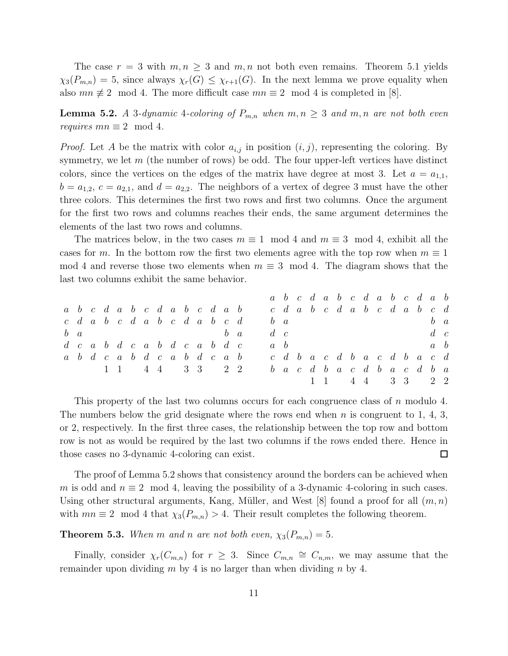The case  $r = 3$  with  $m, n \geq 3$  and  $m, n$  not both even remains. Theorem 5.1 yields  $\chi_3(P_{m,n}) = 5$ , since always  $\chi_r(G) \leq \chi_{r+1}(G)$ . In the next lemma we prove equality when also  $mn \not\equiv 2 \mod 4$ . The more difficult case  $mn \equiv 2 \mod 4$  is completed in [8].

**Lemma 5.2.** A 3-dynamic 4-coloring of  $P_{m,n}$  when  $m, n \geq 3$  and  $m, n$  are not both even requires  $mn \equiv 2 \mod 4$ .

*Proof.* Let A be the matrix with color  $a_{i,j}$  in position  $(i, j)$ , representing the coloring. By symmetry, we let  $m$  (the number of rows) be odd. The four upper-left vertices have distinct colors, since the vertices on the edges of the matrix have degree at most 3. Let  $a = a_{1,1}$ ,  $b = a_{1,2}, c = a_{2,1}$ , and  $d = a_{2,2}$ . The neighbors of a vertex of degree 3 must have the other three colors. This determines the first two rows and first two columns. Once the argument for the first two rows and columns reaches their ends, the same argument determines the elements of the last two rows and columns.

The matrices below, in the two cases  $m \equiv 1 \mod 4$  and  $m \equiv 3 \mod 4$ , exhibit all the cases for m. In the bottom row the first two elements agree with the top row when  $m \equiv 1$ mod 4 and reverse those two elements when  $m \equiv 3 \mod 4$ . The diagram shows that the last two columns exhibit the same behavior.

|          |  |  |                                                                      |  |  |  |  |             |  |  |  |  | a b c d a b c d a b c d a b          |             |  |
|----------|--|--|----------------------------------------------------------------------|--|--|--|--|-------------|--|--|--|--|--------------------------------------|-------------|--|
|          |  |  | a <i>b</i> c d a <i>b</i> c d a <i>b</i> c d a <i>b</i>              |  |  |  |  |             |  |  |  |  | cdabcdabcdabcd                       |             |  |
|          |  |  | $c \, d \, a \, b \, c \, d \, a \, b \, c \, d \, a \, b \, c \, d$ |  |  |  |  | $b \, a$    |  |  |  |  |                                      | $b \, a$    |  |
| $b \, a$ |  |  | $b \quad a$                                                          |  |  |  |  | $d\,c$      |  |  |  |  |                                      | $d\, c$     |  |
|          |  |  | $d \ c \ a \ b \ d \ c \ a \ b \ d \ c \ a \ b \ d \ c$              |  |  |  |  | $a \quad b$ |  |  |  |  |                                      | $a \quad b$ |  |
|          |  |  | a b d c a b d c a b d c a b                                          |  |  |  |  |             |  |  |  |  | $c$ d $b$ a c d $b$ a c d $b$ a c d  |             |  |
|          |  |  | 1 1 4 4 4 3 3 2 2                                                    |  |  |  |  |             |  |  |  |  | $b$ <i>a c d b a c d b a c d b a</i> |             |  |
|          |  |  |                                                                      |  |  |  |  |             |  |  |  |  | 1 1 4 4 3 3 2 2                      |             |  |
|          |  |  |                                                                      |  |  |  |  |             |  |  |  |  |                                      |             |  |

This property of the last two columns occurs for each congruence class of n modulo 4. The numbers below the grid designate where the rows end when n is congruent to 1, 4, 3, or 2, respectively. In the first three cases, the relationship between the top row and bottom row is not as would be required by the last two columns if the rows ended there. Hence in those cases no 3-dynamic 4-coloring can exist.  $\Box$ 

The proof of Lemma 5.2 shows that consistency around the borders can be achieved when m is odd and  $n \equiv 2 \mod 4$ , leaving the possibility of a 3-dynamic 4-coloring in such cases. Using other structural arguments, Kang, Müller, and West [8] found a proof for all  $(m, n)$ with  $mn \equiv 2 \mod 4$  that  $\chi_3(P_{m,n}) > 4$ . Their result completes the following theorem.

**Theorem 5.3.** When m and n are not both even,  $\chi_3(P_{m,n}) = 5$ .

Finally, consider  $\chi_r(C_{m,n})$  for  $r \geq 3$ . Since  $C_{m,n} \cong C_{n,m}$ , we may assume that the remainder upon dividing  $m$  by 4 is no larger than when dividing  $n$  by 4.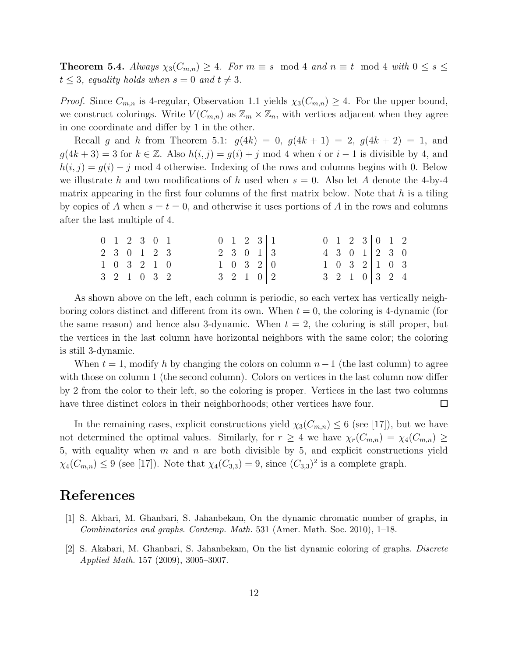**Theorem 5.4.** Always  $\chi_3(C_{m,n}) \geq 4$ . For  $m \equiv s \mod 4$  and  $n \equiv t \mod 4$  with  $0 \leq s \leq$  $t \leq 3$ , equality holds when  $s = 0$  and  $t \neq 3$ .

*Proof.* Since  $C_{m,n}$  is 4-regular, Observation 1.1 yields  $\chi_3(C_{m,n}) \geq 4$ . For the upper bound, we construct colorings. Write  $V(C_{m,n})$  as  $\mathbb{Z}_m \times \mathbb{Z}_n$ , with vertices adjacent when they agree in one coordinate and differ by 1 in the other.

Recall g and h from Theorem 5.1:  $g(4k) = 0$ ,  $g(4k + 1) = 2$ ,  $g(4k + 2) = 1$ , and  $g(4k+3) = 3$  for  $k \in \mathbb{Z}$ . Also  $h(i, j) = g(i) + j \mod 4$  when i or  $i - 1$  is divisible by 4, and  $h(i, j) = g(i) - j$  mod 4 otherwise. Indexing of the rows and columns begins with 0. Below we illustrate h and two modifications of h used when  $s = 0$ . Also let A denote the 4-by-4 matrix appearing in the first four columns of the first matrix below. Note that  $h$  is a tiling by copies of A when  $s = t = 0$ , and otherwise it uses portions of A in the rows and columns after the last multiple of 4.

|  | $0 \t1 \t2 \t3 \t0 \t1$ |  |  |  | $0 \t1 \t2 \t3 \t1$                 |                                     | 0 1 2 3 0 1 2               |  |                             |  |
|--|-------------------------|--|--|--|-------------------------------------|-------------------------------------|-----------------------------|--|-----------------------------|--|
|  | 2 3 0 1 2 3             |  |  |  | $2 \quad 3 \quad 0 \quad 1 \quad 3$ |                                     | $4 \t3 \t0 \t1 \t2 \t3 \t0$ |  |                             |  |
|  | $1 \t0 \t3 \t2 \t1 \t0$ |  |  |  |                                     | $1 \quad 0 \quad 3 \quad 2 \quad 0$ |                             |  | $1 \t0 \t3 \t2 \t1 \t0 \t3$ |  |
|  | 3 2 1 0 3 2             |  |  |  | $3 \t2 \t1 \t0 \t2$                 |                                     | $3 \t2 \t1 \t0 \t3 \t2 \t4$ |  |                             |  |

As shown above on the left, each column is periodic, so each vertex has vertically neighboring colors distinct and different from its own. When  $t = 0$ , the coloring is 4-dynamic (for the same reason) and hence also 3-dynamic. When  $t = 2$ , the coloring is still proper, but the vertices in the last column have horizontal neighbors with the same color; the coloring is still 3-dynamic.

When  $t = 1$ , modify h by changing the colors on column  $n-1$  (the last column) to agree with those on column 1 (the second column). Colors on vertices in the last column now differ by 2 from the color to their left, so the coloring is proper. Vertices in the last two columns have three distinct colors in their neighborhoods; other vertices have four.  $\Box$ 

In the remaining cases, explicit constructions yield  $\chi_3(C_{m,n}) \leq 6$  (see [17]), but we have not determined the optimal values. Similarly, for  $r \geq 4$  we have  $\chi_r(C_{m,n}) = \chi_4(C_{m,n}) \geq$ 5, with equality when  $m$  and  $n$  are both divisible by 5, and explicit constructions yield  $\chi_4(C_{m,n}) \le 9$  (see [17]). Note that  $\chi_4(C_{3,3}) = 9$ , since  $(C_{3,3})^2$  is a complete graph.

# References

- [1] S. Akbari, M. Ghanbari, S. Jahanbekam, On the dynamic chromatic number of graphs, in Combinatorics and graphs. Contemp. Math. 531 (Amer. Math. Soc. 2010), 1–18.
- [2] S. Akabari, M. Ghanbari, S. Jahanbekam, On the list dynamic coloring of graphs. Discrete Applied Math. 157 (2009), 3005–3007.